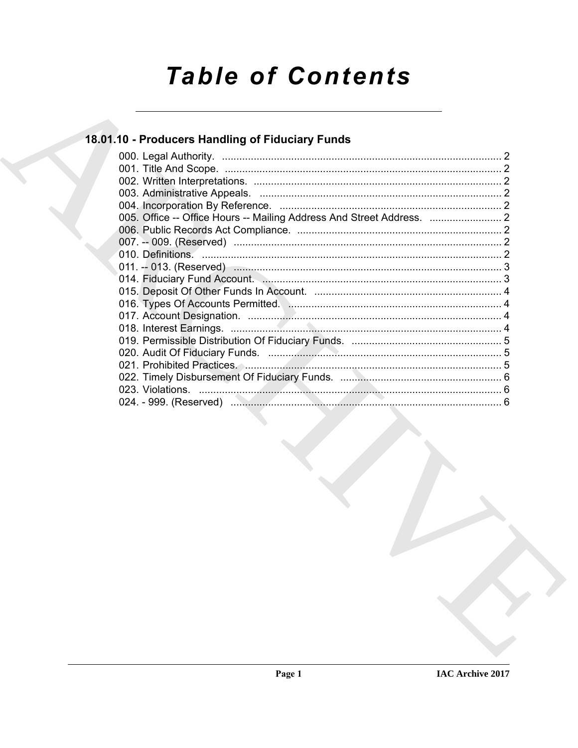# **Table of Contents**

### 18.01.10 - Producers Handling of Fiduciary Funds

| 005. Office -- Office Hours -- Mailing Address And Street Address. |  |
|--------------------------------------------------------------------|--|
|                                                                    |  |
|                                                                    |  |
|                                                                    |  |
|                                                                    |  |
|                                                                    |  |
|                                                                    |  |
|                                                                    |  |
|                                                                    |  |
|                                                                    |  |
|                                                                    |  |
|                                                                    |  |
|                                                                    |  |
|                                                                    |  |
|                                                                    |  |
|                                                                    |  |
|                                                                    |  |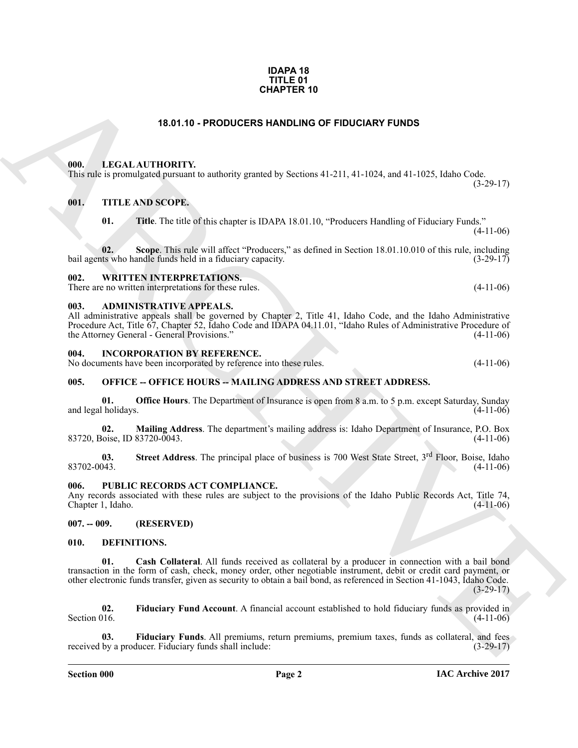#### **IDAPA 18 TITLE 01 CHAPTER 10**

#### **18.01.10 - PRODUCERS HANDLING OF FIDUCIARY FUNDS**

#### <span id="page-1-1"></span><span id="page-1-0"></span>**000. LEGAL AUTHORITY.**

This rule is promulgated pursuant to authority granted by Sections 41-211, 41-1024, and 41-1025, Idaho Code.  $(3-29-17)$ 

#### <span id="page-1-2"></span>**001. TITLE AND SCOPE.**

**01. Title**. The title of this chapter is IDAPA 18.01.10, "Producers Handling of Fiduciary Funds."  $(4-11-06)$ 

**02.** Scope. This rule will affect "Producers," as defined in Section 18.01.10.010 of this rule, including ts who handle funds held in a fiduciary capacity. bail agents who handle funds held in a fiduciary capacity.

#### <span id="page-1-3"></span>**002. WRITTEN INTERPRETATIONS.**

There are no written interpretations for these rules. (4-11-06)

#### <span id="page-1-4"></span>**003. ADMINISTRATIVE APPEALS.**

All administrative appeals shall be governed by Chapter 2, Title 41, Idaho Code, and the Idaho Administrative Procedure Act, Title 67, Chapter 52, Idaho Code and IDAPA 04.11.01, "Idaho Rules of Administrative Procedure of the Attorney General - General Provisions." (4-11-06) the Attorney General - General Provisions."

#### <span id="page-1-5"></span>**004. INCORPORATION BY REFERENCE.**

No documents have been incorporated by reference into these rules. (4-11-06)

#### <span id="page-1-6"></span>**005. OFFICE -- OFFICE HOURS -- MAILING ADDRESS AND STREET ADDRESS.**

**01. Office Hours**. The Department of Insurance is open from 8 a.m. to 5 p.m. except Saturday, Sunday l holidays. (4-11-06) and legal holidays.

**02. Mailing Address**. The department's mailing address is: Idaho Department of Insurance, P.O. Box 83720, Boise, ID 83720-0043. (4-11-06)

**03.** Street Address. The principal place of business is 700 West State Street, 3<sup>rd</sup> Floor, Boise, Idaho (4-11-06)  $83702-0043.$  (4-11-06)

#### <span id="page-1-7"></span>**006. PUBLIC RECORDS ACT COMPLIANCE.**

Any records associated with these rules are subject to the provisions of the Idaho Public Records Act, Title 74, Chapter 1, Idaho. (4-11-06)

#### <span id="page-1-8"></span>**007. -- 009. (RESERVED)**

#### <span id="page-1-11"></span><span id="page-1-10"></span><span id="page-1-9"></span>**010. DEFINITIONS.**

**CHAPTER 10**<br>
18.01.10 - PRODUCERS HANDLING OF FIDUCIARY FUNDS<br>
18.01.10 - FRODUCERS HANDLING OF FIDUCIARY FUNDS<br>
18.11 - LETAL ANTIONATY.<br>
18.1. THE K AN SCOPE.<br>
18.1. THE THE SINE OF THE CONSULTS INTO THE CONSULTS IN TH **01. Cash Collateral**. All funds received as collateral by a producer in connection with a bail bond transaction in the form of cash, check, money order, other negotiable instrument, debit or credit card payment, or other electronic funds transfer, given as security to obtain a bail bond, as referenced in Section 41-1043, Idaho Code.  $(3-29-17)$ 

<span id="page-1-12"></span>**02.** Fiduciary Fund Account. A financial account established to hold fiduciary funds as provided in Section 016. (4-11-06) Section 016.  $(4-11-06)$ 

<span id="page-1-13"></span>**Fiduciary Funds**. All premiums, return premiums, premium taxes, funds as collateral, and fees lucer. Fiduciary funds shall include: (3-29-17) received by a producer. Fiduciary funds shall include:

**Section 000 Page 2**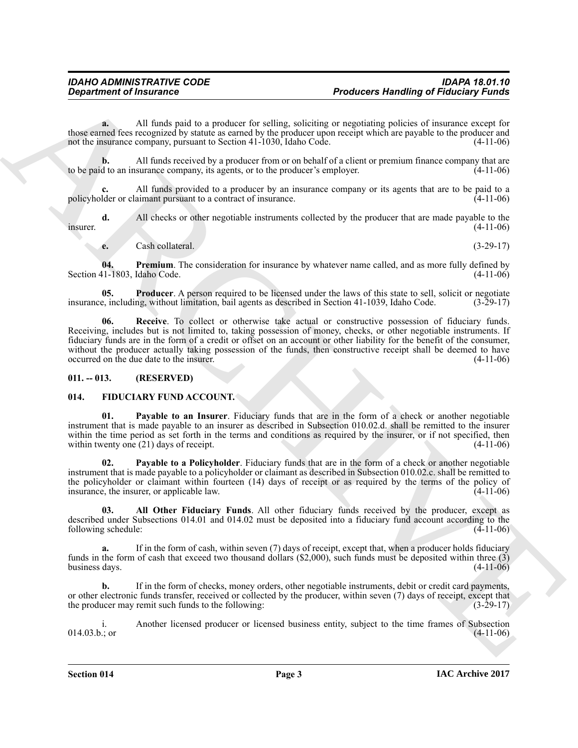**a.** All funds paid to a producer for selling, soliciting or negotiating policies of insurance except for those earned fees recognized by statute as earned by the producer upon receipt which are payable to the producer and not the insurance company, pursuant to Section 41-1030. Idaho Code.  $(4-11-06)$ not the insurance company, pursuant to Section 41-1030, Idaho Code.

**b.** All funds received by a producer from or on behalf of a client or premium finance company that are d to an insurance company, its agents, or to the producer's employer. (4-11-06) to be paid to an insurance company, its agents, or to the producer's employer.

**c.** All funds provided to a producer by an insurance company or its agents that are to be paid to a policyholder or claimant pursuant to a contract of insurance. (4-11-06)

**d.** All checks or other negotiable instruments collected by the producer that are made payable to the (4-11-06)  $\mu$  insurer.  $(4-11-06)$ 

<span id="page-2-3"></span><span id="page-2-2"></span>**e.** Cash collateral. (3-29-17)

**04. Premium**. The consideration for insurance by whatever name called, and as more fully defined by  $(4-11-06)$ Section 41-1803, Idaho Code.

<span id="page-2-4"></span>**05. Producer**. A person required to be licensed under the laws of this state to sell, solicit or negotiate e, including, without limitation, bail agents as described in Section 41-1039, Idaho Code. (3-29-17) insurance, including, without limitation, bail agents as described in Section 41-1039, Idaho Code.

**Expansion of Finducine Theodores Handling of Finducine Theodores Handling of Finducine Theodores Handling of Theodores Handling of Theodores Handling and Content of the main various terms of the main various terms of the 06. Receive**. To collect or otherwise take actual or constructive possession of fiduciary funds. Receiving, includes but is not limited to, taking possession of money, checks, or other negotiable instruments. If fiduciary funds are in the form of a credit or offset on an account or other liability for the benefit of the consumer, without the producer actually taking possession of the funds, then constructive receipt shall be deemed to have occurred on the due date to the insurer. (4-11-06) occurred on the due date to the insurer.

#### <span id="page-2-0"></span>**011. -- 013. (RESERVED)**

#### <span id="page-2-5"></span><span id="page-2-1"></span>**014. FIDUCIARY FUND ACCOUNT.**

<span id="page-2-8"></span>**01. Payable to an Insurer**. Fiduciary funds that are in the form of a check or another negotiable instrument that is made payable to an insurer as described in Subsection 010.02.d. shall be remitted to the insurer within the time period as set forth in the terms and conditions as required by the insurer, or if not specified, then within twenty one (21) days of receipt. (4-11-06) within twenty one  $(21)$  days of receipt.

<span id="page-2-7"></span>**02. Payable to a Policyholder**. Fiduciary funds that are in the form of a check or another negotiable instrument that is made payable to a policyholder or claimant as described in Subsection 010.02.c. shall be remitted to the policyholder or claimant within fourteen (14) days of receipt or as required by the terms of the policy of insurance, the insurer or applicable law.  $(4-11-06)$ insurance, the insurer, or applicable law.

<span id="page-2-6"></span>**03. All Other Fiduciary Funds**. All other fiduciary funds received by the producer, except as described under Subsections 014.01 and 014.02 must be deposited into a fiduciary fund account according to the following schedule: (4-11-06) following schedule:

**a.** If in the form of cash, within seven (7) days of receipt, except that, when a producer holds fiduciary funds in the form of cash that exceed two thousand dollars (\$2,000), such funds must be deposited within three (3) business days.  $(4-11-06)$ business days.

**b.** If in the form of checks, money orders, other negotiable instruments, debit or credit card payments, or other electronic funds transfer, received or collected by the producer, within seven (7) days of receipt, except that the producer may remit such funds to the following: (3-29-17) the producer may remit such funds to the following:

i. Another licensed producer or licensed business entity, subject to the time frames of Subsection  $014.03.b.;$  or  $(4-11-06)$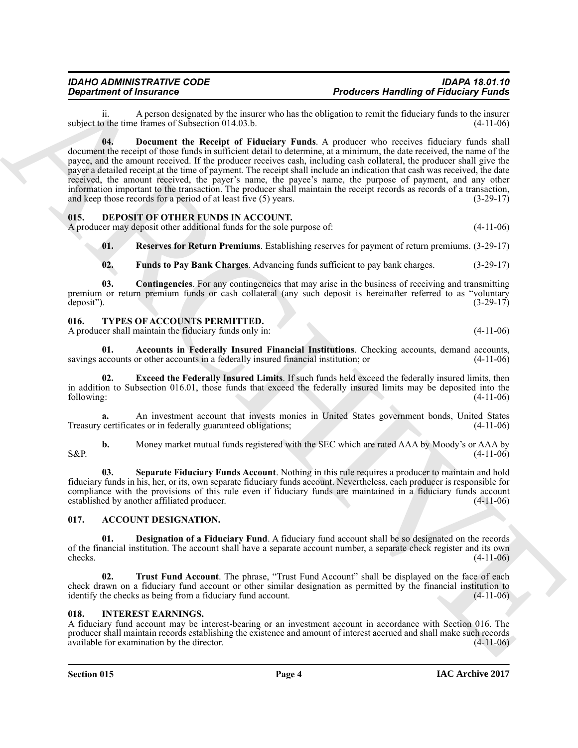<span id="page-3-11"></span>ii. A person designated by the insurer who has the obligation to remit the fiduciary funds to the insurer of the time frames of Subsection 014.03.b. subject to the time frames of Subsection  $014.03$ .b.

**Department of Amazon desired to the transformation of Producers Hermital engines and the control of the state of the state of the state of the state of the state of the state of the state of the state of the state of the 04. Document the Receipt of Fiduciary Funds**. A producer who receives fiduciary funds shall document the receipt of those funds in sufficient detail to determine, at a minimum, the date received, the name of the payee, and the amount received. If the producer receives cash, including cash collateral, the producer shall give the payer a detailed receipt at the time of payment. The receipt shall include an indication that cash was received, the date received, the amount received, the payer's name, the payee's name, the purpose of payment, and any other information important to the transaction. The producer shall maintain the receipt records as records of a transaction, and keep those records for a period of at least five (5) years. (3-29-17)

#### <span id="page-3-7"></span><span id="page-3-0"></span>**015. DEPOSIT OF OTHER FUNDS IN ACCOUNT.**

A producer may deposit other additional funds for the sole purpose of: (4-11-06)

<span id="page-3-10"></span>**01. Reserves for Return Premiums**. Establishing reserves for payment of return premiums. (3-29-17)

<span id="page-3-9"></span><span id="page-3-8"></span>**02. Funds to Pay Bank Charges**. Advancing funds sufficient to pay bank charges. (3-29-17)

**03. Contingencies**. For any contingencies that may arise in the business of receiving and transmitting premium or return premium funds or cash collateral (any such deposit is hereinafter referred to as "voluntary deposit"). (3-29-17) deposit"). (3-29-17)

#### <span id="page-3-13"></span><span id="page-3-1"></span>**016. TYPES OF ACCOUNTS PERMITTED.**

A producer shall maintain the fiduciary funds only in: (4-11-06)

<span id="page-3-14"></span>**01.** Accounts in Federally Insured Financial Institutions. Checking accounts, demand accounts, accounts or other accounts in a federally insured financial institution; or  $(4-11-06)$ savings accounts or other accounts in a federally insured financial institution; or

<span id="page-3-15"></span>**02. Exceed the Federally Insured Limits**. If such funds held exceed the federally insured limits, then in addition to Subsection 016.01, those funds that exceed the federally insured limits may be deposited into the following: (4-11-06) following: (4-11-06)

**a.** An investment account that invests monies in United States government bonds, United States Treasury certificates or in federally guaranteed obligations; (4-11-06)

**b.** Money market mutual funds registered with the SEC which are rated AAA by Moody's or AAA by (4-11-06)  $S\&P.$  (4-11-06)

<span id="page-3-16"></span>**03. Separate Fiduciary Funds Account**. Nothing in this rule requires a producer to maintain and hold fiduciary funds in his, her, or its, own separate fiduciary funds account. Nevertheless, each producer is responsible for compliance with the provisions of this rule even if fiduciary funds are maintained in a fiduciary funds account established by another affiliated producer. (4-11-06) established by another affiliated producer.

#### <span id="page-3-4"></span><span id="page-3-2"></span>**017. ACCOUNT DESIGNATION.**

<span id="page-3-5"></span>**Designation of a Fiduciary Fund.** A fiduciary fund account shall be so designated on the records of the financial institution. The account shall have a separate account number, a separate check register and its own checks. (4-11-06) checks.  $(4-11-06)$ 

<span id="page-3-6"></span>**02. Trust Fund Account**. The phrase, "Trust Fund Account" shall be displayed on the face of each check drawn on a fiduciary fund account or other similar designation as permitted by the financial institution to identify the checks as being from a fiduciary fund account. (4-11-06)

#### <span id="page-3-12"></span><span id="page-3-3"></span>**018. INTEREST EARNINGS.**

A fiduciary fund account may be interest-bearing or an investment account in accordance with Section 016. The producer shall maintain records establishing the existence and amount of interest accrued and shall make such records available for examination by the director. (4-11-06) available for examination by the director.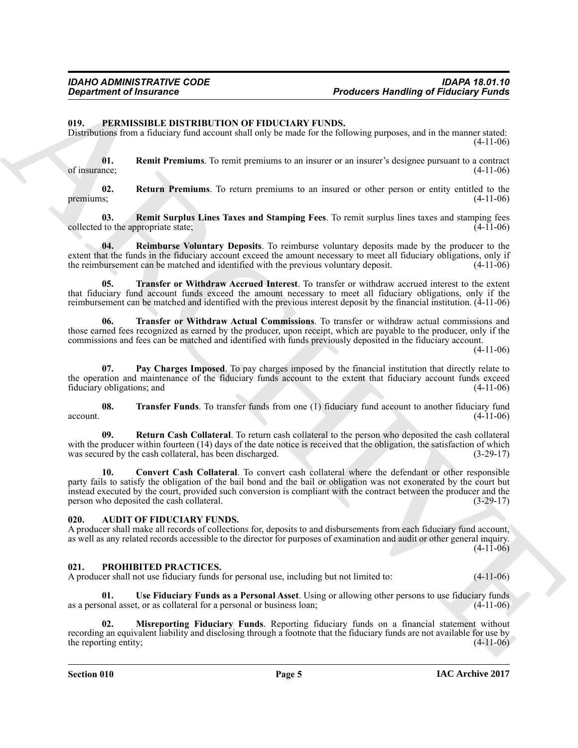#### <span id="page-4-4"></span><span id="page-4-0"></span>**019. PERMISSIBLE DISTRIBUTION OF FIDUCIARY FUNDS.**

Distributions from a fiduciary fund account shall only be made for the following purposes, and in the manner stated:  $(4-11-06)$ 

<span id="page-4-8"></span>**01. Remit Premiums**. To remit premiums to an insurer or an insurer's designee pursuant to a contract of insurance; (4-11-06) of insurance;  $(4-11-06)$ 

<span id="page-4-11"></span>**02. Return Premiums**. To return premiums to an insured or other person or entity entitled to the premiums;  $(4-11-06)$ 

<span id="page-4-9"></span>**03.** Remit Surplus Lines Taxes and Stamping Fees. To remit surplus lines taxes and stamping fees to the appropriate state: (4-11-06) collected to the appropriate state;

<span id="page-4-7"></span>**04. Reimburse Voluntary Deposits**. To reimburse voluntary deposits made by the producer to the extent that the funds in the fiduciary account exceed the amount necessary to meet all fiduciary obligations, only if the reimbursement can be matched and identified with the previous voluntary deposit.  $(4-11-06)$ the reimbursement can be matched and identified with the previous voluntary deposit.

<span id="page-4-13"></span>**05. Transfer or Withdraw Accrued Interest**. To transfer or withdraw accrued interest to the extent that fiduciary fund account funds exceed the amount necessary to meet all fiduciary obligations, only if the reimbursement can be matched and identified with the previous interest deposit by the financial institution. (4-11-06)

<span id="page-4-14"></span>**06. Transfer or Withdraw Actual Commissions**. To transfer or withdraw actual commissions and those earned fees recognized as earned by the producer, upon receipt, which are payable to the producer, only if the commissions and fees can be matched and identified with funds previously deposited in the fiduciary account.

(4-11-06)

<span id="page-4-6"></span>**07. Pay Charges Imposed**. To pay charges imposed by the financial institution that directly relate to the operation and maintenance of the fiduciary funds account to the extent that fiduciary account funds exceed fiduciary obligations; and (4-11-06)

<span id="page-4-12"></span>**08. Transfer Funds**. To transfer funds from one (1) fiduciary fund account to another fiduciary fund (4-11-06)  $\alpha$  account.  $(4-11-06)$ 

<span id="page-4-10"></span><span id="page-4-5"></span>**09. Return Cash Collateral**. To return cash collateral to the person who deposited the cash collateral with the producer within fourteen (14) days of the date notice is received that the obligation, the satisfaction of which was secured by the cash collateral, has been discharged. (3-29-17) was secured by the cash collateral, has been discharged.

**Department of Insurance Theodores Honding of Fiducial Systems (a)**<br>19. **PERIUS EXECUTE TO CONTROL** CONFIDENCE CONFIDENCE (a) the state of the state of the state of the state of the state of the state of the state of the **10. Convert Cash Collateral**. To convert cash collateral where the defendant or other responsible party fails to satisfy the obligation of the bail bond and the bail or obligation was not exonerated by the court but instead executed by the court, provided such conversion is compliant with the contract between the producer and the person who deposited the cash collateral.

#### <span id="page-4-3"></span><span id="page-4-1"></span>**020. AUDIT OF FIDUCIARY FUNDS.**

A producer shall make all records of collections for, deposits to and disbursements from each fiduciary fund account, as well as any related records accessible to the director for purposes of examination and audit or other general inquiry. (4-11-06)

#### <span id="page-4-15"></span><span id="page-4-2"></span>**021. PROHIBITED PRACTICES.**

A producer shall not use fiduciary funds for personal use, including but not limited to: (4-11-06)

<span id="page-4-17"></span>**01. Use Fiduciary Funds as a Personal Asset**. Using or allowing other persons to use fiduciary funds as a personal asset, or as collateral for a personal or business loan;

<span id="page-4-16"></span>**02. Misreporting Fiduciary Funds**. Reporting fiduciary funds on a financial statement without recording an equivalent liability and disclosing through a footnote that the fiduciary funds are not available for use by the reporting entity; (4-11-06) the reporting entity;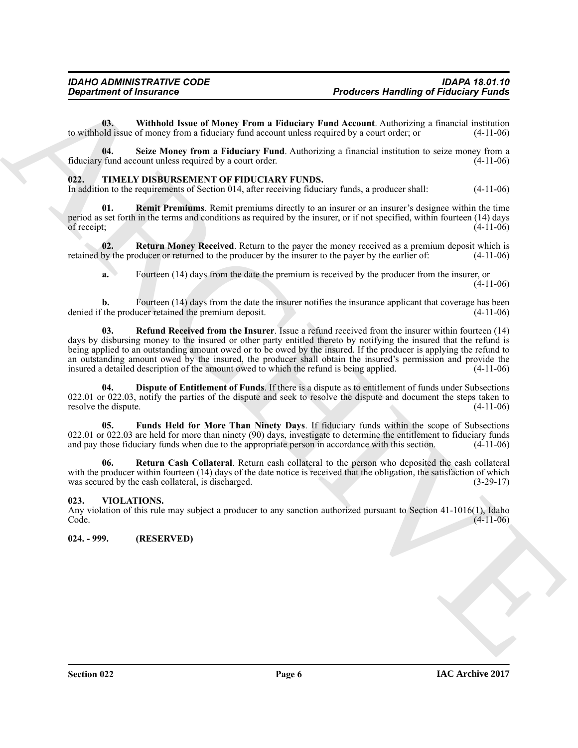<span id="page-5-4"></span>**03.** Withhold Issue of Money From a Fiduciary Fund Account. Authorizing a financial institution bld issue of money from a fiduciary fund account unless required by a court order; or (4-11-06) to withhold issue of money from a fiduciary fund account unless required by a court order; or

<span id="page-5-3"></span>**04.** Seize Money from a Fiduciary Fund. Authorizing a financial institution to seize money from a fund account unless required by a court order. (4-11-06) fiduciary fund account unless required by a court order.

#### <span id="page-5-5"></span><span id="page-5-0"></span>**022. TIMELY DISBURSEMENT OF FIDUCIARY FUNDS.**

<span id="page-5-9"></span>In addition to the requirements of Section 014, after receiving fiduciary funds, a producer shall: (4-11-06)

**01.** Remit Premiums. Remit premiums directly to an insurer or an insurer's designee within the time period as set forth in the terms and conditions as required by the insurer, or if not specified, within fourteen (14) days of receipt; (4-11-06)

**02. Return Money Received**. Return to the payer the money received as a premium deposit which is by the producer or returned to the producer by the insurer to the payer by the earlier of: (4-11-06) retained by the producer or returned to the producer by the insurer to the payer by the earlier of:

<span id="page-5-11"></span><span id="page-5-8"></span>**a.** Fourteen (14) days from the date the premium is received by the producer from the insurer, or (4-11-06)

**b.** Fourteen (14) days from the date the insurer notifies the insurance applicant that coverage has been the producer retained the premium deposit. (4-11-06) denied if the producer retained the premium deposit.

**Exparament of financines**<br> **Producers Hamiltong of Financial Correspond and the system a Plateaux Fund Account, Adelphanet is interesting<br>
to withhelm of the Shape from a Plateaux fund Account universe to contract, the p 03. Refund Received from the Insurer**. Issue a refund received from the insurer within fourteen (14) days by disbursing money to the insured or other party entitled thereto by notifying the insured that the refund is being applied to an outstanding amount owed or to be owed by the insured. If the producer is applying the refund to an outstanding amount owed by the insured, the producer shall obtain the insured's permission and provide the insured a detailed description of the amount owed to which the refund is being applied. (4-11-06) insured a detailed description of the amount owed to which the refund is being applied.

<span id="page-5-6"></span>**04. Dispute of Entitlement of Funds**. If there is a dispute as to entitlement of funds under Subsections 022.01 or 022.03, notify the parties of the dispute and seek to resolve the dispute and document the steps taken to resolve the dispute.  $(4-11-06)$ resolve the dispute.

<span id="page-5-7"></span>**05. Funds Held for More Than Ninety Days**. If fiduciary funds within the scope of Subsections 022.01 or 022.03 are held for more than ninety (90) days, investigate to determine the entitlement to fiduciary funds and pay those fiduciary funds when due to the appropriate person in accordance with this section.  $(4-1$ and pay those fiduciary funds when due to the appropriate person in accordance with this section.

<span id="page-5-10"></span>**06. Return Cash Collateral**. Return cash collateral to the person who deposited the cash collateral with the producer within fourteen (14) days of the date notice is received that the obligation, the satisfaction of which was secured by the cash collateral, is discharged. (3-29-17) was secured by the cash collateral, is discharged.

#### <span id="page-5-1"></span>**023. VIOLATIONS.**

Any violation of this rule may subject a producer to any sanction authorized pursuant to Section 41-1016(1), Idaho Code. (4-11-06)  $\text{Code.} \tag{4-11-06}$ 

<span id="page-5-2"></span>**024. - 999. (RESERVED)**